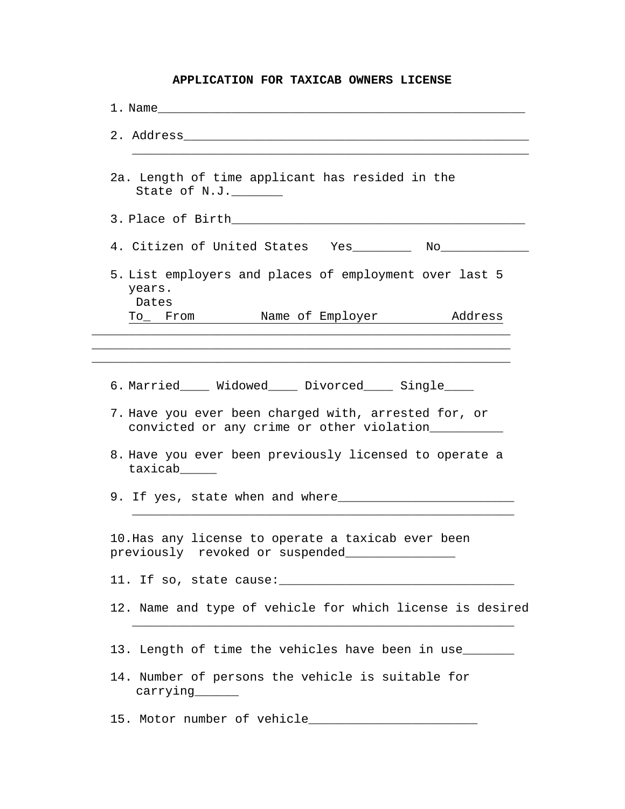## **APPLICATION FOR TAXICAB OWNERS LICENSE**

| 1. Name and the set of the set of the set of the set of the set of the set of the set of the set of the set of the set of the set of the set of the set of the set of the set of the set of the set of the set of the set of t |
|--------------------------------------------------------------------------------------------------------------------------------------------------------------------------------------------------------------------------------|
|                                                                                                                                                                                                                                |
| 2a. Length of time applicant has resided in the<br>State of N.J.                                                                                                                                                               |
| 3. Place of Birth and the state of the state of $\mathbb{R}^n$                                                                                                                                                                 |
| 4. Citizen of United States Yes________ No___________                                                                                                                                                                          |
| 5. List employers and places of employment over last 5<br>years.<br>Dates<br>To From Name of Employer Address                                                                                                                  |
|                                                                                                                                                                                                                                |
|                                                                                                                                                                                                                                |
| 6. Married_____ Widowed_____ Divorced_____ Single_____                                                                                                                                                                         |
| 7. Have you ever been charged with, arrested for, or<br>convicted or any crime or other violation                                                                                                                              |
| 8. Have you ever been previously licensed to operate a<br>taxicab_____                                                                                                                                                         |
|                                                                                                                                                                                                                                |
| 10. Has any license to operate a taxicab ever been<br>previously revoked or suspended                                                                                                                                          |
|                                                                                                                                                                                                                                |
| 12. Name and type of vehicle for which license is desired                                                                                                                                                                      |
| 13. Length of time the vehicles have been in use                                                                                                                                                                               |
| 14. Number of persons the vehicle is suitable for                                                                                                                                                                              |
|                                                                                                                                                                                                                                |